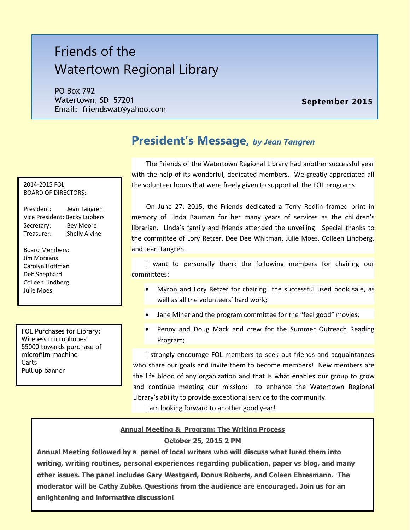# Friends of the Watertown Regional Library

PO Box 792 Watertown, SD 57201 Email: friendswat@yahoo.com

#### **September 2015**

#### 2014-2015 FOL BOARD OF DIRECTORS:

President: Jean Tangren Vice President: Becky Lubbers Secretary: Bev Moore Treasurer: Shelly Alvine

Board Members: Jim Morgans Carolyn Hoffman Deb Shephard Colleen Lindberg Julie Moes

FOL Purchases for Library: Wireless microphones \$5000 towards purchase of microfilm machine **Carts** Pull up banner

# **President's Message,** *by Jean Tangren*

The Friends of the Watertown Regional Library had another successful year with the help of its wonderful, dedicated members. We greatly appreciated all the volunteer hours that were freely given to support all the FOL programs.

On June 27, 2015, the Friends dedicated a Terry Redlin framed print in memory of Linda Bauman for her many years of services as the children's librarian. Linda's family and friends attended the unveiling. Special thanks to the committee of Lory Retzer, Dee Dee Whitman, Julie Moes, Colleen Lindberg, and Jean Tangren.

I want to personally thank the following members for chairing our committees:

- Myron and Lory Retzer for chairing the successful used book sale, as well as all the volunteers' hard work;
- Jane Miner and the program committee for the "feel good" movies;
- Penny and Doug Mack and crew for the Summer Outreach Reading Program;

I strongly encourage FOL members to seek out friends and acquaintances who share our goals and invite them to become members! New members are the life blood of any organization and that is what enables our group to grow and continue meeting our mission: to enhance the Watertown Regional Library's ability to provide exceptional service to the community.

I am looking forward to another good year!

#### **Annual Meeting & Program: The Writing Process**

#### **October 25, 2015 2 PM**

**Annual Meeting followed by a panel of local writers who will discuss what lured them into writing, writing routines, personal experiences regarding publication, paper vs blog, and many other issues. The panel includes Gary Westgard, Donus Roberts, and Coleen Ehresmann. The moderator will be Cathy Zubke. Questions from the audience are encouraged. Join us for an enlightening and informative discussion!**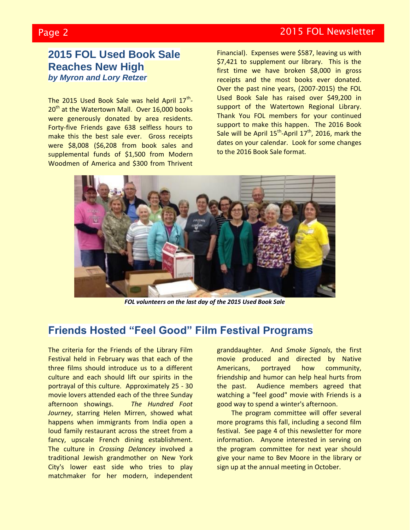## Page 2 2015 FOL Newsletter

## **2015 FOL Used Book Sale Reaches New High** *by Myron and Lory Retzer*

The 2015 Used Book Sale was held April 17<sup>th</sup>-20<sup>th</sup> at the Watertown Mall. Over 16,000 books were generously donated by area residents. Forty-five Friends gave 638 selfless hours to make this the best sale ever. Gross receipts were \$8,008 (\$6,208 from book sales and supplemental funds of \$1,500 from Modern Woodmen of America and \$300 from Thrivent Financial). Expenses were \$587, leaving us with \$7,421 to supplement our library. This is the first time we have broken \$8,000 in gross receipts and the most books ever donated. Over the past nine years, (2007-2015) the FOL Used Book Sale has raised over \$49,200 in support of the Watertown Regional Library. Thank You FOL members for your continued support to make this happen. The 2016 Book Sale will be April  $15^{th}$ -April  $17^{th}$ , 2016, mark the dates on your calendar. Look for some changes to the 2016 Book Sale format.



*FOL volunteers on the last day of the 2015 Used Book Sale*

# **Friends Hosted "Feel Good" Film Festival Programs**

The criteria for the Friends of the Library Film Festival held in February was that each of the three films should introduce us to a different culture and each should lift our spirits in the portrayal of this culture. Approximately 25 - 30 movie lovers attended each of the three Sunday afternoon showings. *The Hundred Foot Journey*, starring Helen Mirren, showed what happens when immigrants from India open a loud family restaurant across the street from a fancy, upscale French dining establishment. The culture in *Crossing Delancey* involved a traditional Jewish grandmother on New York City's lower east side who tries to play matchmaker for her modern, independent

granddaughter. And *Smoke Signals*, the first movie produced and directed by Native Americans, portrayed how community, friendship and humor can help heal hurts from the past. Audience members agreed that watching a "feel good" movie with Friends is a good way to spend a winter's afternoon.

The program committee will offer several more programs this fall, including a second film festival. See page 4 of this newsletter for more information. Anyone interested in serving on the program committee for next year should give your name to Bev Moore in the library or sign up at the annual meeting in October.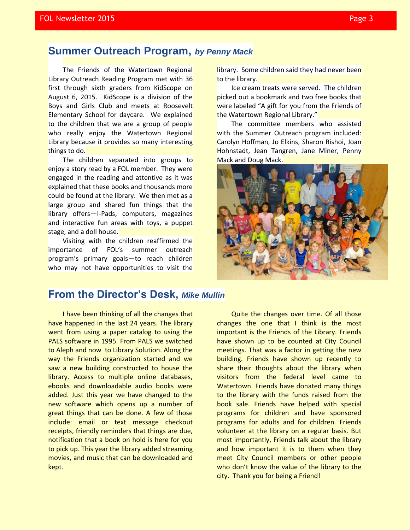## **Summer Outreach Program,** *by Penny Mack*

The Friends of the Watertown Regional Library Outreach Reading Program met with 36 first through sixth graders from KidScope on August 6, 2015. KidScope is a division of the Boys and Girls Club and meets at Roosevelt Elementary School for daycare. We explained to the children that we are a group of people who really enjoy the Watertown Regional Library because it provides so many interesting things to do.

The children separated into groups to enjoy a story read by a FOL member. They were engaged in the reading and attentive as it was explained that these books and thousands more could be found at the library. We then met as a large group and shared fun things that the library offers—I-Pads, computers, magazines and interactive fun areas with toys, a puppet stage, and a doll house.

Visiting with the children reaffirmed the importance of FOL's summer outreach program's primary goals—to reach children who may not have opportunities to visit the

library. Some children said they had never been to the library.

Ice cream treats were served. The children picked out a bookmark and two free books that were labeled "A gift for you from the Friends of the Watertown Regional Library."

The committee members who assisted with the Summer Outreach program included: Carolyn Hoffman, Jo Elkins, Sharon Rishoi, Joan Hohnstadt, Jean Tangren, Jane Miner, Penny Mack and Doug Mack.



## **From the Director's Desk,** *Mike Mullin*

I have been thinking of all the changes that have happened in the last 24 years. The library went from using a paper catalog to using the PALS software in 1995. From PALS we switched to Aleph and now to Library Solution. Along the way the Friends organization started and we saw a new building constructed to house the library. Access to multiple online databases, ebooks and downloadable audio books were added. Just this year we have changed to the new software which opens up a number of great things that can be done. A few of those include: email or text message checkout receipts, friendly reminders that things are due, notification that a book on hold is here for you to pick up. This year the library added streaming movies, and music that can be downloaded and kept.

Quite the changes over time. Of all those changes the one that I think is the most important is the Friends of the Library. Friends have shown up to be counted at City Council meetings. That was a factor in getting the new building. Friends have shown up recently to share their thoughts about the library when visitors from the federal level came to Watertown. Friends have donated many things to the library with the funds raised from the book sale. Friends have helped with special programs for children and have sponsored programs for adults and for children. Friends volunteer at the library on a regular basis. But most importantly, Friends talk about the library and how important it is to them when they meet City Council members or other people who don't know the value of the library to the city. Thank you for being a Friend!